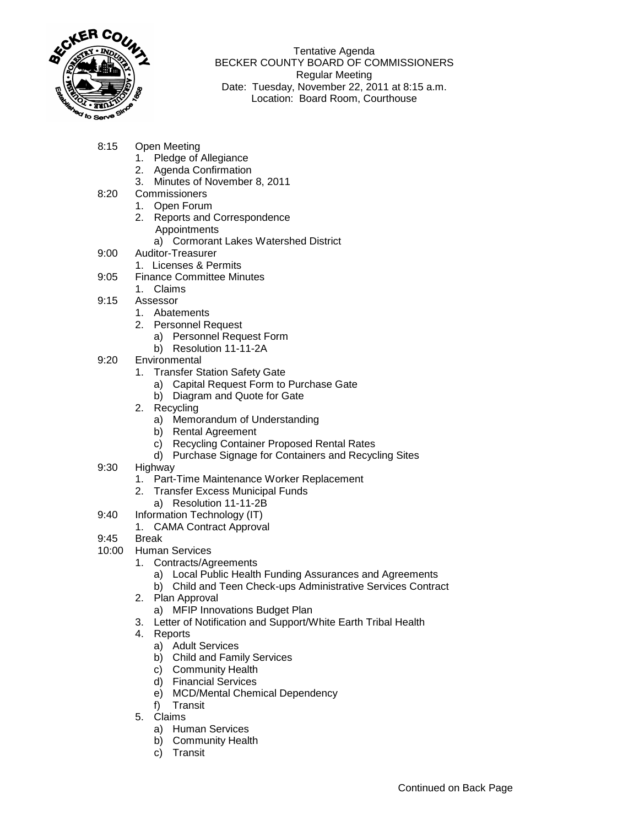

Tentative Agenda BECKER COUNTY BOARD OF COMMISSIONERS Regular Meeting Date: Tuesday, November 22, 2011 at 8:15 a.m. Location: Board Room, Courthouse

- 8:15 Open Meeting
	- 1. Pledge of Allegiance
	- 2. Agenda Confirmation
	- 3. Minutes of November 8, 2011
- 8:20 Commissioners
	- 1. Open Forum
	- 2. Reports and Correspondence Appointments
		- a) Cormorant Lakes Watershed District
- 9:00 Auditor-Treasurer
	- 1. Licenses & Permits
- 9:05 Finance Committee Minutes
	- 1. Claims
- 9:15 Assessor
	- 1. Abatements
	- 2. Personnel Request
		- a) Personnel Request Form
		- b) Resolution 11-11-2A
- 9:20 Environmental
	- 1. Transfer Station Safety Gate
		- a) Capital Request Form to Purchase Gate
		- b) Diagram and Quote for Gate
	- 2. Recycling
		- a) Memorandum of Understanding
		- b) Rental Agreement
		- c) Recycling Container Proposed Rental Rates
		- d) Purchase Signage for Containers and Recycling Sites
- 9:30 Highway
	- 1. Part-Time Maintenance Worker Replacement
	- 2. Transfer Excess Municipal Funds
		- a) Resolution 11-11-2B
- 9:40 Information Technology (IT)
	- 1. CAMA Contract Approval
- 9:45 Break
- 10:00 Human Services
	- 1. Contracts/Agreements
		- a) Local Public Health Funding Assurances and Agreements
		- b) Child and Teen Check-ups Administrative Services Contract
	- 2. Plan Approval
		- a) MFIP Innovations Budget Plan
	- 3. Letter of Notification and Support/White Earth Tribal Health
	- 4. Reports
		- a) Adult Services
		- b) Child and Family Services
		- c) Community Health
		- d) Financial Services
		- e) MCD/Mental Chemical Dependency
		- f) Transit
	- 5. Claims
		- a) Human Services
		- b) Community Health
		- c) Transit